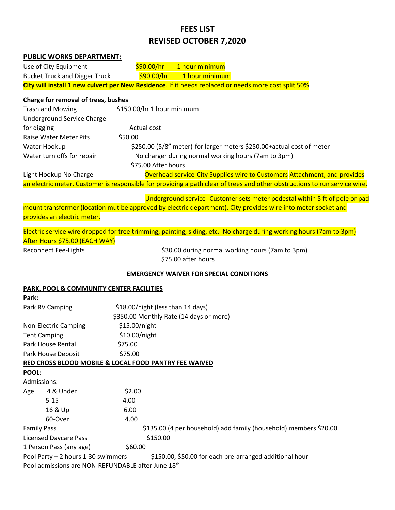# **FEES LIST REVISED OCTOBER 7,2020**

| PUBLIC WORKS DEPARTMENT:                           |                                                                                                                            |
|----------------------------------------------------|----------------------------------------------------------------------------------------------------------------------------|
| Use of City Equipment                              | \$90.00/hr<br>1 hour minimum                                                                                               |
| <b>Bucket Truck and Digger Truck</b>               | \$90.00/hr<br>1 hour minimum                                                                                               |
|                                                    | City will install 1 new culvert per New Residence. If it needs replaced or needs more cost split 50%                       |
| Charge for removal of trees, bushes                |                                                                                                                            |
| <b>Trash and Mowing</b>                            | \$150.00/hr 1 hour minimum                                                                                                 |
| <b>Underground Service Charge</b>                  |                                                                                                                            |
| for digging                                        | Actual cost                                                                                                                |
| <b>Raise Water Meter Pits</b>                      | \$50.00                                                                                                                    |
| Water Hookup                                       | \$250.00 (5/8" meter)-for larger meters \$250.00+ actual cost of meter                                                     |
| Water turn offs for repair                         | No charger during normal working hours (7am to 3pm)                                                                        |
|                                                    | \$75.00 After hours                                                                                                        |
| Light Hookup No Charge                             | Overhead service-City Supplies wire to Customers Attachment, and provides                                                  |
|                                                    | an electric meter. Customer is responsible for providing a path clear of trees and other obstructions to run service wire. |
|                                                    | Underground service- Customer sets meter pedestal within 5 ft of pole or pad                                               |
|                                                    | mount transformer (location mut be approved by electric department). City provides wire into meter socket and              |
| provides an electric meter.                        |                                                                                                                            |
|                                                    | Electric service wire dropped for tree trimming, painting, siding, etc. No charge during working hours (7am to 3pm)        |
| After Hours \$75.00 (EACH WAY)                     |                                                                                                                            |
| <b>Reconnect Fee-Lights</b>                        | \$30.00 during normal working hours (7am to 3pm)                                                                           |
|                                                    | \$75.00 after hours                                                                                                        |
|                                                    | <b>EMERGENCY WAIVER FOR SPECIAL CONDITIONS</b>                                                                             |
| PARK, POOL & COMMUNITY CENTER FACILITIES           |                                                                                                                            |
| Park:                                              |                                                                                                                            |
| Park RV Camping                                    | \$18.00/night (less than 14 days)                                                                                          |
|                                                    | \$350.00 Monthly Rate (14 days or more)                                                                                    |
| Non-Electric Camping                               | \$15.00/night                                                                                                              |
| <b>Tent Camping</b>                                | \$10.00/night                                                                                                              |
| Park House Rental                                  | \$75.00                                                                                                                    |
| Park House Deposit                                 | \$75.00                                                                                                                    |
|                                                    | RED CROSS BLOOD MOBILE & LOCAL FOOD PANTRY FEE WAIVED                                                                      |
| POOL:                                              |                                                                                                                            |
| Admissions:                                        |                                                                                                                            |
| 4 & Under<br>Age                                   | \$2.00                                                                                                                     |
| $5 - 15$                                           | 4.00                                                                                                                       |
| 16 & Up                                            | 6.00                                                                                                                       |
| 60-Over                                            | 4.00                                                                                                                       |
| <b>Family Pass</b><br><b>Licensed Daycare Pass</b> | \$135.00 (4 per household) add family (household) members \$20.00<br>\$150.00                                              |
| 1 Person Pass (any age)                            | \$60.00                                                                                                                    |
| Pool Party - 2 hours 1-30 swimmers                 | \$150.00, \$50.00 for each pre-arranged additional hour                                                                    |
| Pool admissions are NON-REFUNDABLE after June 18th |                                                                                                                            |